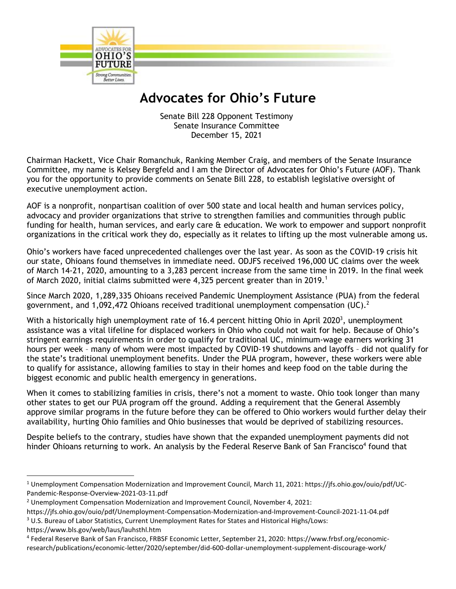

## **Advocates for Ohio's Future**

Senate Bill 228 Opponent Testimony Senate Insurance Committee December 15, 2021

Chairman Hackett, Vice Chair Romanchuk, Ranking Member Craig, and members of the Senate Insurance Committee, my name is Kelsey Bergfeld and I am the Director of Advocates for Ohio's Future (AOF). Thank you for the opportunity to provide comments on Senate Bill 228, to establish legislative oversight of executive unemployment action.

AOF is a nonprofit, nonpartisan coalition of over 500 state and local health and human services policy, advocacy and provider organizations that strive to strengthen families and communities through public funding for health, human services, and early care & education. We work to empower and support nonprofit organizations in the critical work they do, especially as it relates to lifting up the most vulnerable among us.

Ohio's workers have faced unprecedented challenges over the last year. As soon as the COVID-19 crisis hit our state, Ohioans found themselves in immediate need. ODJFS received 196,000 UC claims over the week of March 14-21, 2020, amounting to a 3,283 percent increase from the same time in 2019. In the final week of March 2020, initial claims submitted were 4,325 percent greater than in 2019.<sup>1</sup>

Since March 2020, 1,289,335 Ohioans received Pandemic Unemployment Assistance (PUA) from the federal government, and 1,092,472 Ohioans received traditional unemployment compensation (UC).<sup>2</sup>

With a historically high unemployment rate of 16.4 percent hitting Ohio in April 2020<sup>3</sup>, unemployment assistance was a vital lifeline for displaced workers in Ohio who could not wait for help. Because of Ohio's stringent earnings requirements in order to qualify for traditional UC, minimum-wage earners working 31 hours per week – many of whom were most impacted by COVID-19 shutdowns and layoffs – did not qualify for the state's traditional unemployment benefits. Under the PUA program, however, these workers were able to qualify for assistance, allowing families to stay in their homes and keep food on the table during the biggest economic and public health emergency in generations.

When it comes to stabilizing families in crisis, there's not a moment to waste. Ohio took longer than many other states to get our PUA program off the ground. Adding a requirement that the General Assembly approve similar programs in the future before they can be offered to Ohio workers would further delay their availability, hurting Ohio families and Ohio businesses that would be deprived of stabilizing resources.

Despite beliefs to the contrary, studies have shown that the expanded unemployment payments did not hinder Ohioans returning to work. An analysis by the Federal Reserve Bank of San Francisco<sup>4</sup> found that

https://www.bls.gov/web/laus/lauhsthl.htm

l

<sup>1</sup> Unemployment Compensation Modernization and Improvement Council, March 11, 2021: https://jfs.ohio.gov/ouio/pdf/UC-Pandemic-Response-Overview-2021-03-11.pdf

<sup>&</sup>lt;sup>2</sup> Unemployment Compensation Modernization and Improvement Council, November 4, 2021:

https://jfs.ohio.gov/ouio/pdf/Unemployment-Compensation-Modernization-and-Improvement-Council-2021-11-04.pdf

<sup>&</sup>lt;sup>3</sup> U.S. Bureau of Labor Statistics, Current Unemployment Rates for States and Historical Highs/Lows:

<sup>4</sup> Federal Reserve Bank of San Francisco, FRBSF Economic Letter, September 21, 2020: https://www.frbsf.org/economicresearch/publications/economic-letter/2020/september/did-600-dollar-unemployment-supplement-discourage-work/